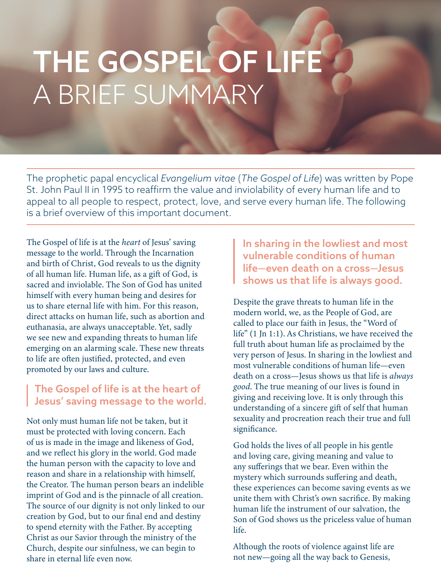## THE GOSPEL OF LIFE A BRIEF SUMMARY

The prophetic papal encyclical *Evangelium vitae* (*The Gospel of Life*) was written by Pope St. John Paul II in 1995 to reaffirm the value and inviolability of every human life and to appeal to all people to respect, protect, love, and serve every human life. The following is a brief overview of this important document.

The Gospel of life is at the *heart* of Jesus' saving message to the world. Through the Incarnation and birth of Christ, God reveals to us the dignity of all human life. Human life, as a gift of God, is sacred and inviolable. The Son of God has united himself with every human being and desires for us to share eternal life with him. For this reason, direct attacks on human life, such as abortion and euthanasia, are always unacceptable. Yet, sadly we see new and expanding threats to human life emerging on an alarming scale. These new threats to life are often justified, protected, and even promoted by our laws and culture.

## The Gospel of life is at the heart of Jesus' saving message to the world.

Not only must human life not be taken, but it must be protected with loving concern. Each of us is made in the image and likeness of God, and we reflect his glory in the world. God made the human person with the capacity to love and reason and share in a relationship with himself, the Creator. The human person bears an indelible imprint of God and is the pinnacle of all creation. The source of our dignity is not only linked to our creation by God, but to our final end and destiny to spend eternity with the Father. By accepting Christ as our Savior through the ministry of the Church, despite our sinfulness, we can begin to share in eternal life even now.

In sharing in the lowliest and most vulnerable conditions of human life—even death on a cross—Jesus shows us that life is always good.

Despite the grave threats to human life in the modern world, we, as the People of God, are called to place our faith in Jesus, the "Word of life" (1 Jn 1:1). As Christians, we have received the full truth about human life as proclaimed by the very person of Jesus. In sharing in the lowliest and most vulnerable conditions of human life—even death on a cross—Jesus shows us that life is *always good*. The true meaning of our lives is found in giving and receiving love. It is only through this understanding of a sincere gift of self that human sexuality and procreation reach their true and full significance.

God holds the lives of all people in his gentle and loving care, giving meaning and value to any sufferings that we bear. Even within the mystery which surrounds suffering and death, these experiences can become saving events as we unite them with Christ's own sacrifice. By making human life the instrument of our salvation, the Son of God shows us the priceless value of human life.

Although the roots of violence against life are not new—going all the way back to Genesis,